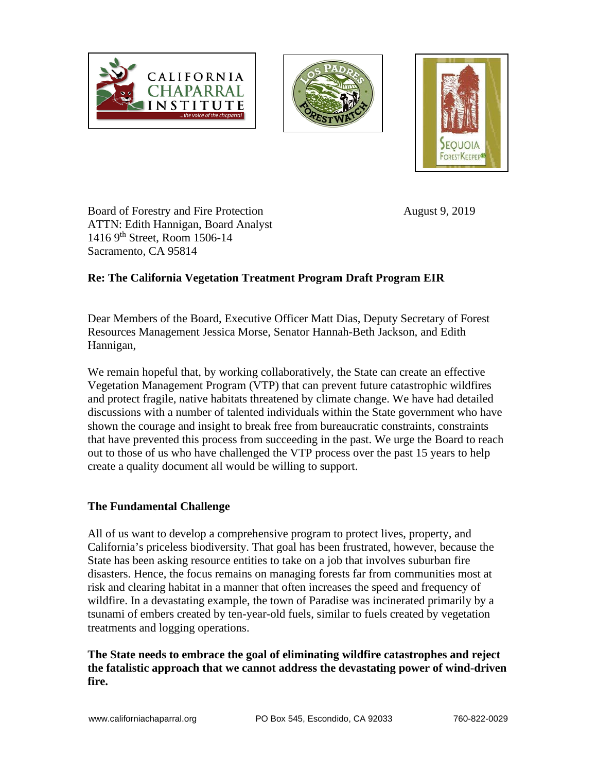





Board of Forestry and Fire Protection August 9, 2019 ATTN: Edith Hannigan, Board Analyst 1416 9th Street, Room 1506-14 Sacramento, CA 95814

## **Re: The California Vegetation Treatment Program Draft Program EIR**

Dear Members of the Board, Executive Officer Matt Dias, Deputy Secretary of Forest Resources Management Jessica Morse, Senator Hannah-Beth Jackson, and Edith Hannigan,

We remain hopeful that, by working collaboratively, the State can create an effective Vegetation Management Program (VTP) that can prevent future catastrophic wildfires and protect fragile, native habitats threatened by climate change. We have had detailed discussions with a number of talented individuals within the State government who have shown the courage and insight to break free from bureaucratic constraints, constraints that have prevented this process from succeeding in the past. We urge the Board to reach out to those of us who have challenged the VTP process over the past 15 years to help create a quality document all would be willing to support.

#### **The Fundamental Challenge**

All of us want to develop a comprehensive program to protect lives, property, and California's priceless biodiversity. That goal has been frustrated, however, because the State has been asking resource entities to take on a job that involves suburban fire disasters. Hence, the focus remains on managing forests far from communities most at risk and clearing habitat in a manner that often increases the speed and frequency of wildfire. In a devastating example, the town of Paradise was incinerated primarily by a tsunami of embers created by ten-year-old fuels, similar to fuels created by vegetation treatments and logging operations.

#### **The State needs to embrace the goal of eliminating wildfire catastrophes and reject the fatalistic approach that we cannot address the devastating power of wind-driven fire.**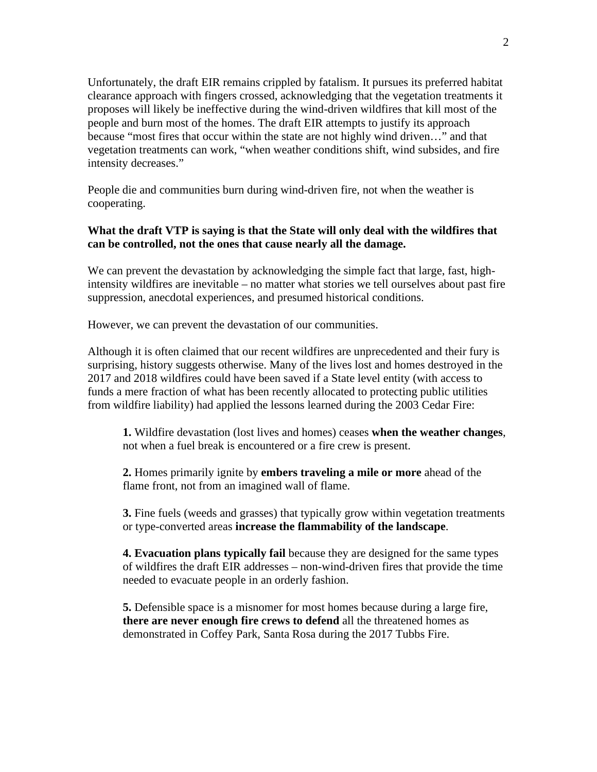Unfortunately, the draft EIR remains crippled by fatalism. It pursues its preferred habitat clearance approach with fingers crossed, acknowledging that the vegetation treatments it proposes will likely be ineffective during the wind-driven wildfires that kill most of the people and burn most of the homes. The draft EIR attempts to justify its approach because "most fires that occur within the state are not highly wind driven…" and that vegetation treatments can work, "when weather conditions shift, wind subsides, and fire intensity decreases."

People die and communities burn during wind-driven fire, not when the weather is cooperating.

#### **What the draft VTP is saying is that the State will only deal with the wildfires that can be controlled, not the ones that cause nearly all the damage.**

We can prevent the devastation by acknowledging the simple fact that large, fast, highintensity wildfires are inevitable – no matter what stories we tell ourselves about past fire suppression, anecdotal experiences, and presumed historical conditions.

However, we can prevent the devastation of our communities.

Although it is often claimed that our recent wildfires are unprecedented and their fury is surprising, history suggests otherwise. Many of the lives lost and homes destroyed in the 2017 and 2018 wildfires could have been saved if a State level entity (with access to funds a mere fraction of what has been recently allocated to protecting public utilities from wildfire liability) had applied the lessons learned during the 2003 Cedar Fire:

**1.** Wildfire devastation (lost lives and homes) ceases **when the weather changes**, not when a fuel break is encountered or a fire crew is present.

**2.** Homes primarily ignite by **embers traveling a mile or more** ahead of the flame front, not from an imagined wall of flame.

**3.** Fine fuels (weeds and grasses) that typically grow within vegetation treatments or type-converted areas **increase the flammability of the landscape**.

**4. Evacuation plans typically fail** because they are designed for the same types of wildfires the draft EIR addresses – non-wind-driven fires that provide the time needed to evacuate people in an orderly fashion.

**5.** Defensible space is a misnomer for most homes because during a large fire, **there are never enough fire crews to defend** all the threatened homes as demonstrated in Coffey Park, Santa Rosa during the 2017 Tubbs Fire.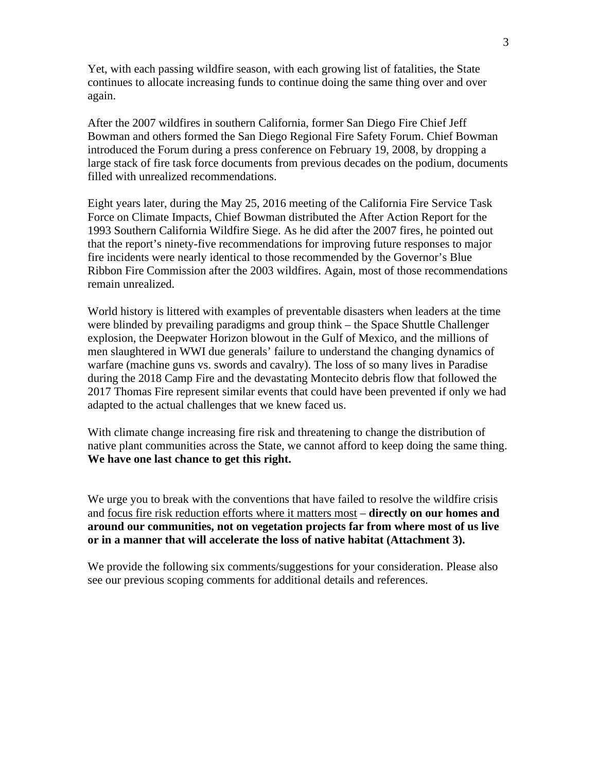Yet, with each passing wildfire season, with each growing list of fatalities, the State continues to allocate increasing funds to continue doing the same thing over and over again.

After the 2007 wildfires in southern California, former San Diego Fire Chief Jeff Bowman and others formed the San Diego Regional Fire Safety Forum. Chief Bowman introduced the Forum during a press conference on February 19, 2008, by dropping a large stack of fire task force documents from previous decades on the podium, documents filled with unrealized recommendations.

Eight years later, during the May 25, 2016 meeting of the California Fire Service Task Force on Climate Impacts, Chief Bowman distributed the After Action Report for the 1993 Southern California Wildfire Siege. As he did after the 2007 fires, he pointed out that the report's ninety-five recommendations for improving future responses to major fire incidents were nearly identical to those recommended by the Governor's Blue Ribbon Fire Commission after the 2003 wildfires. Again, most of those recommendations remain unrealized.

World history is littered with examples of preventable disasters when leaders at the time were blinded by prevailing paradigms and group think – the Space Shuttle Challenger explosion, the Deepwater Horizon blowout in the Gulf of Mexico, and the millions of men slaughtered in WWI due generals' failure to understand the changing dynamics of warfare (machine guns vs. swords and cavalry). The loss of so many lives in Paradise during the 2018 Camp Fire and the devastating Montecito debris flow that followed the 2017 Thomas Fire represent similar events that could have been prevented if only we had adapted to the actual challenges that we knew faced us.

With climate change increasing fire risk and threatening to change the distribution of native plant communities across the State, we cannot afford to keep doing the same thing. **We have one last chance to get this right.**

We urge you to break with the conventions that have failed to resolve the wildfire crisis and focus fire risk reduction efforts where it matters most – **directly on our homes and around our communities, not on vegetation projects far from where most of us live or in a manner that will accelerate the loss of native habitat (Attachment 3).**

We provide the following six comments/suggestions for your consideration. Please also see our previous scoping comments for additional details and references.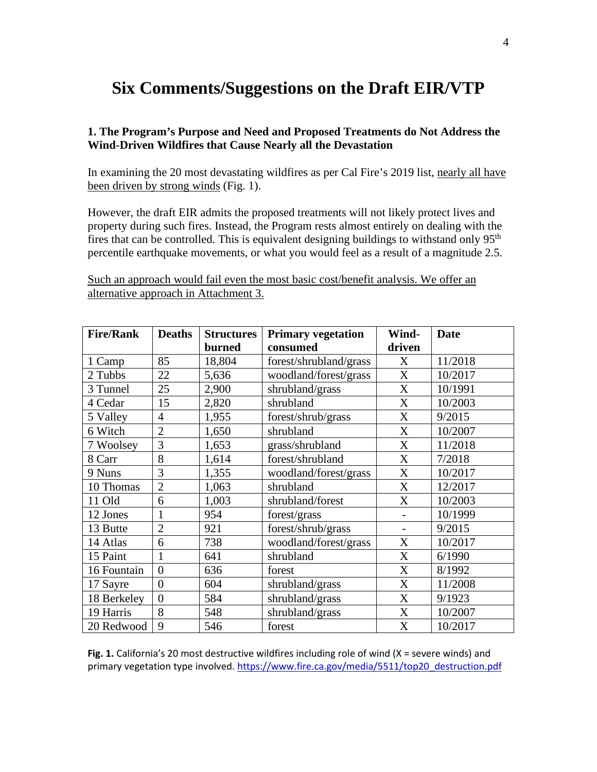# **Six Comments/Suggestions on the Draft EIR/VTP**

#### **1. The Program's Purpose and Need and Proposed Treatments do Not Address the Wind-Driven Wildfires that Cause Nearly all the Devastation**

In examining the 20 most devastating wildfires as per Cal Fire's 2019 list, nearly all have been driven by strong winds (Fig. 1).

However, the draft EIR admits the proposed treatments will not likely protect lives and property during such fires. Instead, the Program rests almost entirely on dealing with the fires that can be controlled. This is equivalent designing buildings to withstand only  $95<sup>th</sup>$ percentile earthquake movements, or what you would feel as a result of a magnitude 2.5.

Such an approach would fail even the most basic cost/benefit analysis. We offer an alternative approach in Attachment 3.

| <b>Fire/Rank</b> | <b>Deaths</b>  | <b>Structures</b> | <b>Primary vegetation</b> | Wind-  | <b>Date</b> |
|------------------|----------------|-------------------|---------------------------|--------|-------------|
|                  |                | burned            | consumed                  | driven |             |
| 1 Camp           | 85             | 18,804            | forest/shrubland/grass    | X      | 11/2018     |
| 2 Tubbs          | 22             | 5,636             | woodland/forest/grass     | X      | 10/2017     |
| 3 Tunnel         | 25             | 2,900             | shrubland/grass           | X      | 10/1991     |
| 4 Cedar          | 15             | 2,820             | shrubland                 | X      | 10/2003     |
| 5 Valley         | $\overline{4}$ | 1,955             | forest/shrub/grass        | X      | 9/2015      |
| 6 Witch          | $\overline{2}$ | 1,650             | shrubland                 | X      | 10/2007     |
| 7 Woolsey        | 3              | 1,653             | grass/shrubland           | X      | 11/2018     |
| 8 Carr           | 8              | 1,614             | forest/shrubland          | X      | 7/2018      |
| 9 Nuns           | 3              | 1,355             | woodland/forest/grass     | X      | 10/2017     |
| 10 Thomas        | $\overline{2}$ | 1,063             | shrubland                 | X      | 12/2017     |
| 11 Old           | 6              | 1,003             | shrubland/forest          | X      | 10/2003     |
| 12 Jones         | 1              | 954               | forest/grass              |        | 10/1999     |
| 13 Butte         | $\overline{2}$ | 921               | forest/shrub/grass        |        | 9/2015      |
| 14 Atlas         | 6              | 738               | woodland/forest/grass     | X      | 10/2017     |
| 15 Paint         | 1              | 641               | shrubland                 | X      | 6/1990      |
| 16 Fountain      | $\theta$       | 636               | forest                    | X      | 8/1992      |
| 17 Sayre         | $\overline{0}$ | 604               | shrubland/grass           | X      | 11/2008     |
| 18 Berkeley      | $\overline{0}$ | 584               | shrubland/grass           | X      | 9/1923      |
| 19 Harris        | 8              | 548               | shrubland/grass           | X      | 10/2007     |
| 20 Redwood       | 9              | 546               | forest                    | X      | 10/2017     |

Fig. 1. California's 20 most destructive wildfires including role of wind (X = severe winds) and primary vegetation type involved. [https://www.fire.ca.gov/media/5511/top20\\_destruction.pdf](https://www.fire.ca.gov/media/5511/top20_destruction.pdf)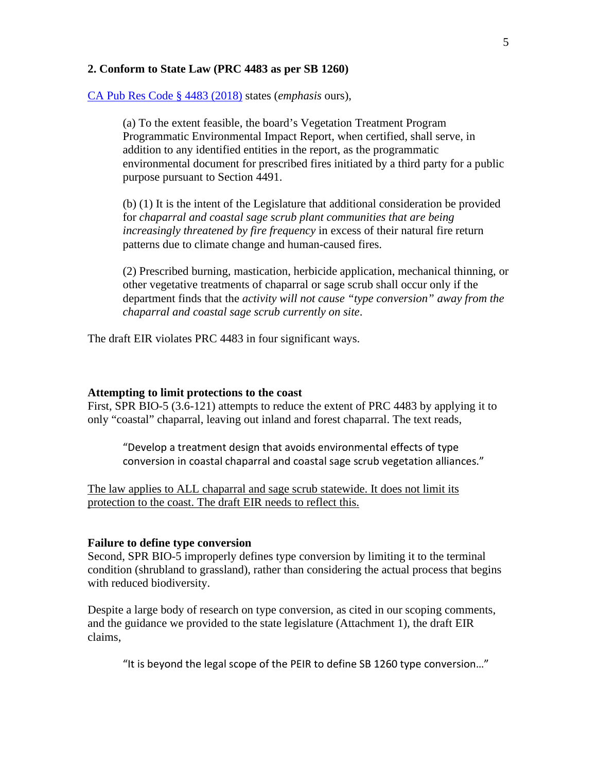#### **2. Conform to State Law (PRC 4483 as per SB 1260)**

[CA Pub Res Code § 4483 \(2018\)](https://law.justia.com/citations.html) states (*emphasis* ours),

(a) To the extent feasible, the board's Vegetation Treatment Program Programmatic Environmental Impact Report, when certified, shall serve, in addition to any identified entities in the report, as the programmatic environmental document for prescribed fires initiated by a third party for a public purpose pursuant to Section 4491.

(b) (1) It is the intent of the Legislature that additional consideration be provided for *chaparral and coastal sage scrub plant communities that are being increasingly threatened by fire frequency* in excess of their natural fire return patterns due to climate change and human-caused fires.

(2) Prescribed burning, mastication, herbicide application, mechanical thinning, or other vegetative treatments of chaparral or sage scrub shall occur only if the department finds that the *activity will not cause "type conversion" away from the chaparral and coastal sage scrub currently on site*.

The draft EIR violates PRC 4483 in four significant ways.

#### **Attempting to limit protections to the coast**

First, SPR BIO-5 (3.6-121) attempts to reduce the extent of PRC 4483 by applying it to only "coastal" chaparral, leaving out inland and forest chaparral. The text reads,

"Develop a treatment design that avoids environmental effects of type conversion in coastal chaparral and coastal sage scrub vegetation alliances."

The law applies to ALL chaparral and sage scrub statewide. It does not limit its protection to the coast. The draft EIR needs to reflect this.

#### **Failure to define type conversion**

Second, SPR BIO-5 improperly defines type conversion by limiting it to the terminal condition (shrubland to grassland), rather than considering the actual process that begins with reduced biodiversity.

Despite a large body of research on type conversion, as cited in our scoping comments, and the guidance we provided to the state legislature (Attachment 1), the draft EIR claims,

"It is beyond the legal scope of the PEIR to define SB 1260 type conversion…"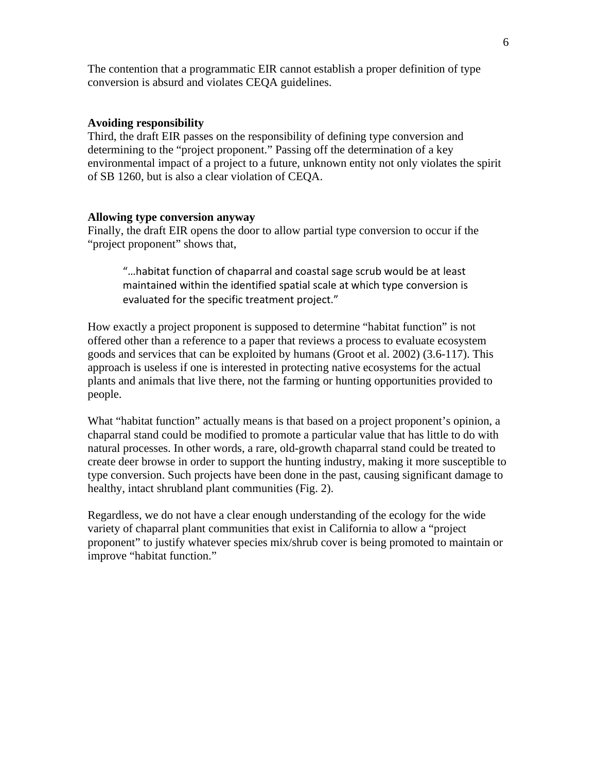The contention that a programmatic EIR cannot establish a proper definition of type conversion is absurd and violates CEQA guidelines.

#### **Avoiding responsibility**

Third, the draft EIR passes on the responsibility of defining type conversion and determining to the "project proponent." Passing off the determination of a key environmental impact of a project to a future, unknown entity not only violates the spirit of SB 1260, but is also a clear violation of CEQA.

#### **Allowing type conversion anyway**

Finally, the draft EIR opens the door to allow partial type conversion to occur if the "project proponent" shows that,

"…habitat function of chaparral and coastal sage scrub would be at least maintained within the identified spatial scale at which type conversion is evaluated for the specific treatment project."

How exactly a project proponent is supposed to determine "habitat function" is not offered other than a reference to a paper that reviews a process to evaluate ecosystem goods and services that can be exploited by humans (Groot et al. 2002) (3.6-117). This approach is useless if one is interested in protecting native ecosystems for the actual plants and animals that live there, not the farming or hunting opportunities provided to people.

What "habitat function" actually means is that based on a project proponent's opinion, a chaparral stand could be modified to promote a particular value that has little to do with natural processes. In other words, a rare, old-growth chaparral stand could be treated to create deer browse in order to support the hunting industry, making it more susceptible to type conversion. Such projects have been done in the past, causing significant damage to healthy, intact shrubland plant communities (Fig. 2).

Regardless, we do not have a clear enough understanding of the ecology for the wide variety of chaparral plant communities that exist in California to allow a "project proponent" to justify whatever species mix/shrub cover is being promoted to maintain or improve "habitat function."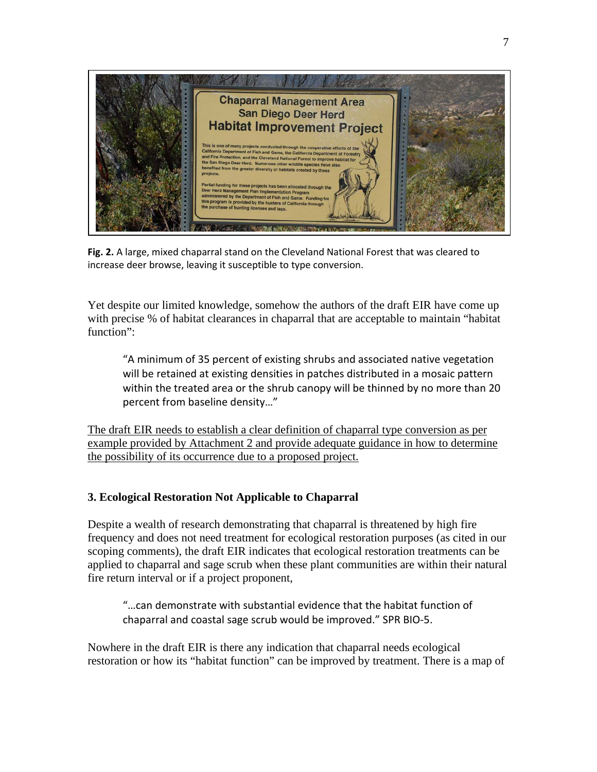

**Fig. 2.** A large, mixed chaparral stand on the Cleveland National Forest that was cleared to increase deer browse, leaving it susceptible to type conversion.

Yet despite our limited knowledge, somehow the authors of the draft EIR have come up with precise % of habitat clearances in chaparral that are acceptable to maintain "habitat function":

"A minimum of 35 percent of existing shrubs and associated native vegetation will be retained at existing densities in patches distributed in a mosaic pattern within the treated area or the shrub canopy will be thinned by no more than 20 percent from baseline density…"

The draft EIR needs to establish a clear definition of chaparral type conversion as per example provided by Attachment 2 and provide adequate guidance in how to determine the possibility of its occurrence due to a proposed project.

## **3. Ecological Restoration Not Applicable to Chaparral**

Despite a wealth of research demonstrating that chaparral is threatened by high fire frequency and does not need treatment for ecological restoration purposes (as cited in our scoping comments), the draft EIR indicates that ecological restoration treatments can be applied to chaparral and sage scrub when these plant communities are within their natural fire return interval or if a project proponent,

"…can demonstrate with substantial evidence that the habitat function of chaparral and coastal sage scrub would be improved." SPR BIO-5.

Nowhere in the draft EIR is there any indication that chaparral needs ecological restoration or how its "habitat function" can be improved by treatment. There is a map of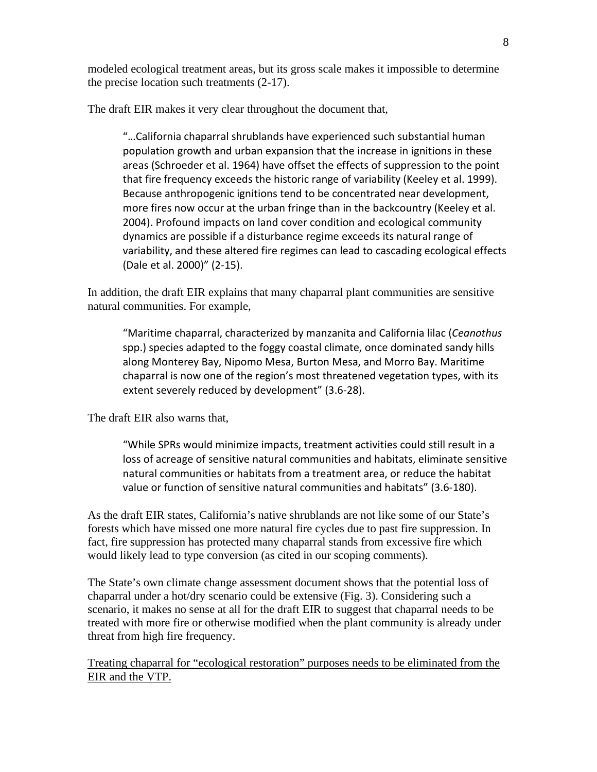modeled ecological treatment areas, but its gross scale makes it impossible to determine the precise location such treatments (2-17).

The draft EIR makes it very clear throughout the document that,

"…California chaparral shrublands have experienced such substantial human population growth and urban expansion that the increase in ignitions in these areas (Schroeder et al. 1964) have offset the effects of suppression to the point that fire frequency exceeds the historic range of variability (Keeley et al. 1999). Because anthropogenic ignitions tend to be concentrated near development, more fires now occur at the urban fringe than in the backcountry (Keeley et al. 2004). Profound impacts on land cover condition and ecological community dynamics are possible if a disturbance regime exceeds its natural range of variability, and these altered fire regimes can lead to cascading ecological effects (Dale et al. 2000)" (2-15).

In addition, the draft EIR explains that many chaparral plant communities are sensitive natural communities. For example,

"Maritime chaparral, characterized by manzanita and California lilac (*Ceanothus*  spp.) species adapted to the foggy coastal climate, once dominated sandy hills along Monterey Bay, Nipomo Mesa, Burton Mesa, and Morro Bay. Maritime chaparral is now one of the region's most threatened vegetation types, with its extent severely reduced by development" (3.6-28).

The draft EIR also warns that,

"While SPRs would minimize impacts, treatment activities could still result in a loss of acreage of sensitive natural communities and habitats, eliminate sensitive natural communities or habitats from a treatment area, or reduce the habitat value or function of sensitive natural communities and habitats" (3.6-180).

As the draft EIR states, California's native shrublands are not like some of our State's forests which have missed one more natural fire cycles due to past fire suppression. In fact, fire suppression has protected many chaparral stands from excessive fire which would likely lead to type conversion (as cited in our scoping comments).

The State's own climate change assessment document shows that the potential loss of chaparral under a hot/dry scenario could be extensive (Fig. 3). Considering such a scenario, it makes no sense at all for the draft EIR to suggest that chaparral needs to be treated with more fire or otherwise modified when the plant community is already under threat from high fire frequency.

Treating chaparral for "ecological restoration" purposes needs to be eliminated from the EIR and the VTP.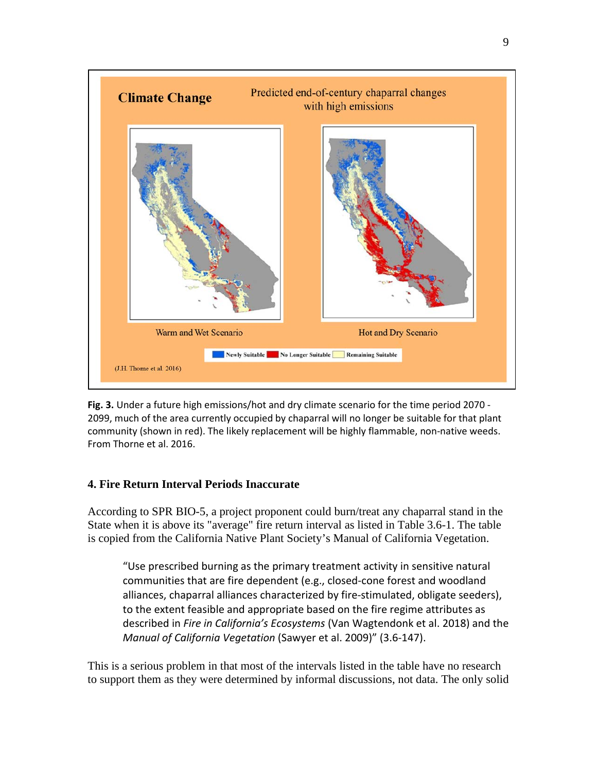

**Fig. 3.** Under a future high emissions/hot and dry climate scenario for the time period 2070 - 2099, much of the area currently occupied by chaparral will no longer be suitable for that plant community (shown in red). The likely replacement will be highly flammable, non-native weeds. From Thorne et al. 2016.

#### **4. Fire Return Interval Periods Inaccurate**

According to SPR BIO-5, a project proponent could burn/treat any chaparral stand in the State when it is above its "average" fire return interval as listed in Table 3.6-1. The table is copied from the California Native Plant Society's Manual of California Vegetation.

"Use prescribed burning as the primary treatment activity in sensitive natural communities that are fire dependent (e.g., closed-cone forest and woodland alliances, chaparral alliances characterized by fire-stimulated, obligate seeders), to the extent feasible and appropriate based on the fire regime attributes as described in *Fire in California's Ecosystems* (Van Wagtendonk et al. 2018) and the *Manual of California Vegetation* (Sawyer et al. 2009)" (3.6-147).

This is a serious problem in that most of the intervals listed in the table have no research to support them as they were determined by informal discussions, not data. The only solid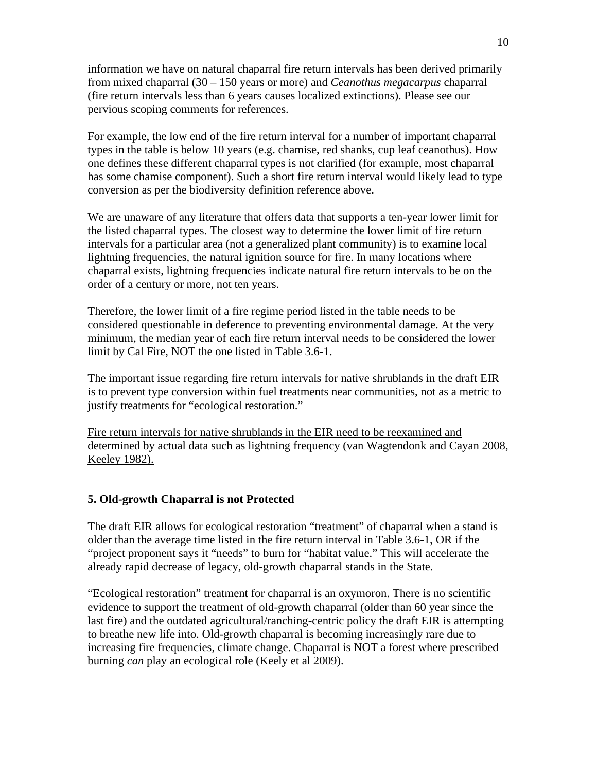information we have on natural chaparral fire return intervals has been derived primarily from mixed chaparral (30 – 150 years or more) and *Ceanothus megacarpus* chaparral (fire return intervals less than 6 years causes localized extinctions). Please see our pervious scoping comments for references.

For example, the low end of the fire return interval for a number of important chaparral types in the table is below 10 years (e.g. chamise, red shanks, cup leaf ceanothus). How one defines these different chaparral types is not clarified (for example, most chaparral has some chamise component). Such a short fire return interval would likely lead to type conversion as per the biodiversity definition reference above.

We are unaware of any literature that offers data that supports a ten-year lower limit for the listed chaparral types. The closest way to determine the lower limit of fire return intervals for a particular area (not a generalized plant community) is to examine local lightning frequencies, the natural ignition source for fire. In many locations where chaparral exists, lightning frequencies indicate natural fire return intervals to be on the order of a century or more, not ten years.

Therefore, the lower limit of a fire regime period listed in the table needs to be considered questionable in deference to preventing environmental damage. At the very minimum, the median year of each fire return interval needs to be considered the lower limit by Cal Fire, NOT the one listed in Table 3.6-1.

The important issue regarding fire return intervals for native shrublands in the draft EIR is to prevent type conversion within fuel treatments near communities, not as a metric to justify treatments for "ecological restoration."

Fire return intervals for native shrublands in the EIR need to be reexamined and determined by actual data such as lightning frequency (van Wagtendonk and Cayan 2008, Keeley 1982).

## **5. Old-growth Chaparral is not Protected**

The draft EIR allows for ecological restoration "treatment" of chaparral when a stand is older than the average time listed in the fire return interval in Table 3.6-1, OR if the "project proponent says it "needs" to burn for "habitat value." This will accelerate the already rapid decrease of legacy, old-growth chaparral stands in the State.

"Ecological restoration" treatment for chaparral is an oxymoron. There is no scientific evidence to support the treatment of old-growth chaparral (older than 60 year since the last fire) and the outdated agricultural/ranching-centric policy the draft EIR is attempting to breathe new life into. Old-growth chaparral is becoming increasingly rare due to increasing fire frequencies, climate change. Chaparral is NOT a forest where prescribed burning *can* play an ecological role (Keely et al 2009).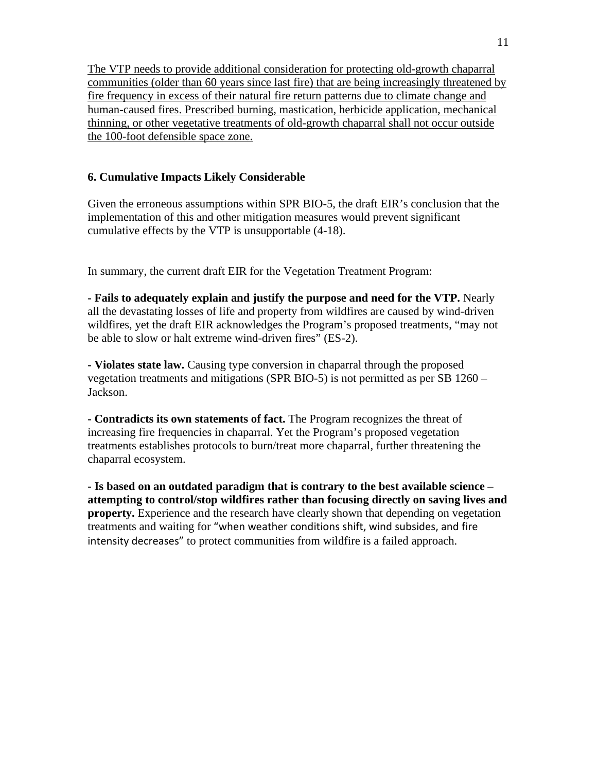The VTP needs to provide additional consideration for protecting old-growth chaparral communities (older than 60 years since last fire) that are being increasingly threatened by fire frequency in excess of their natural fire return patterns due to climate change and human-caused fires. Prescribed burning, mastication, herbicide application, mechanical thinning, or other vegetative treatments of old-growth chaparral shall not occur outside the 100-foot defensible space zone.

## **6. Cumulative Impacts Likely Considerable**

Given the erroneous assumptions within SPR BIO-5, the draft EIR's conclusion that the implementation of this and other mitigation measures would prevent significant cumulative effects by the VTP is unsupportable (4-18).

In summary, the current draft EIR for the Vegetation Treatment Program:

**- Fails to adequately explain and justify the purpose and need for the VTP.** Nearly all the devastating losses of life and property from wildfires are caused by wind-driven wildfires, yet the draft EIR acknowledges the Program's proposed treatments, "may not be able to slow or halt extreme wind-driven fires" (ES-2).

**- Violates state law.** Causing type conversion in chaparral through the proposed vegetation treatments and mitigations (SPR BIO-5) is not permitted as per SB 1260 – Jackson.

**- Contradicts its own statements of fact.** The Program recognizes the threat of increasing fire frequencies in chaparral. Yet the Program's proposed vegetation treatments establishes protocols to burn/treat more chaparral, further threatening the chaparral ecosystem.

**- Is based on an outdated paradigm that is contrary to the best available science – attempting to control/stop wildfires rather than focusing directly on saving lives and property.** Experience and the research have clearly shown that depending on vegetation treatments and waiting for "when weather conditions shift, wind subsides, and fire intensity decreases" to protect communities from wildfire is a failed approach.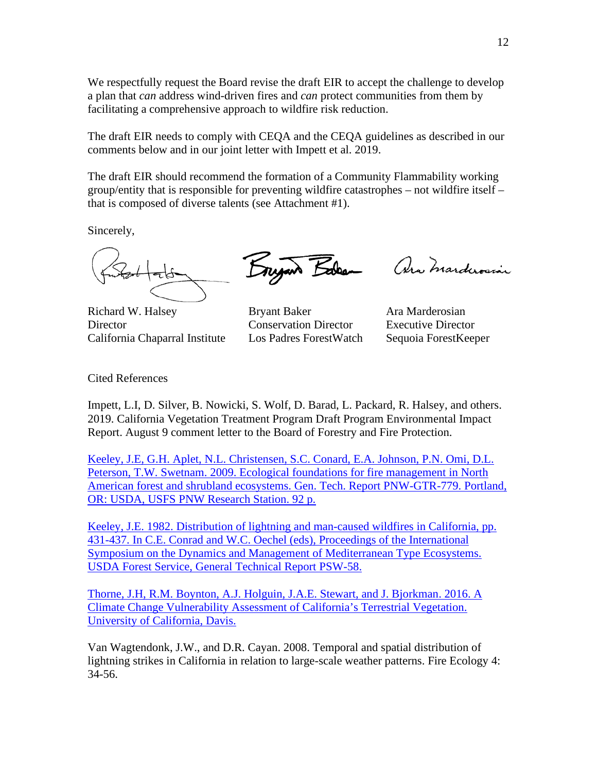We respectfully request the Board revise the draft EIR to accept the challenge to develop a plan that *can* address wind-driven fires and *can* protect communities from them by facilitating a comprehensive approach to wildfire risk reduction.

The draft EIR needs to comply with CEQA and the CEQA guidelines as described in our comments below and in our joint letter with Impett et al. 2019.

The draft EIR should recommend the formation of a Community Flammability working group/entity that is responsible for preventing wildfire catastrophes – not wildfire itself – that is composed of diverse talents (see Attachment #1).

Sincerely,

Richard W. Halsey **Bryant Baker** Ara Marderosian Director Conservation Director Executive Director California Chaparral Institute Los Padres ForestWatch Sequoia ForestKeeper

Engan Balen

Ara Marderosia

Cited References

Impett, L.I, D. Silver, B. Nowicki, S. Wolf, D. Barad, L. Packard, R. Halsey, and others. 2019. California Vegetation Treatment Program Draft Program Environmental Impact Report. August 9 comment letter to the Board of Forestry and Fire Protection.

[Keeley, J.E, G.H. Aplet, N.L. Christensen, S.C. Conard, E.A. Johnson, P.N. Omi, D.L.](http://www.californiachaparral.com/images/Eco_Found_for_Fire_Management_forest_and_shrublands_Keeley_et_al_pnw_gtr779.pdf)  [Peterson, T.W. Swetnam. 2009. Ecological foundations for fire management in North](http://www.californiachaparral.com/images/Eco_Found_for_Fire_Management_forest_and_shrublands_Keeley_et_al_pnw_gtr779.pdf)  [American forest and shrubland ecosystems. Gen. Tech. Report PNW-GTR-779. Portland,](http://www.californiachaparral.com/images/Eco_Found_for_Fire_Management_forest_and_shrublands_Keeley_et_al_pnw_gtr779.pdf)  [OR: USDA, USFS PNW Research Station.](http://www.californiachaparral.com/images/Eco_Found_for_Fire_Management_forest_and_shrublands_Keeley_et_al_pnw_gtr779.pdf) 92 p[.](http://www.californiachaparral.com/fire/firescience.html#mce_temp_url#)

[Keeley, J.E. 1982. Distribution of lightning and man-caused wildfires in California, pp.](http://www.californiachaparral.com/images/Lightning_in_California_Fires_II.pdf)  [431-437. In C.E. Conrad and W.C. Oechel \(eds\), Proceedings of the International](http://www.californiachaparral.com/images/Lightning_in_California_Fires_II.pdf)  [Symposium on the Dynamics and Management of Mediterranean Type Ecosystems.](http://www.californiachaparral.com/images/Lightning_in_California_Fires_II.pdf)  [USDA Forest Service, General Technical Report PSW-58.](http://www.californiachaparral.com/images/Lightning_in_California_Fires_II.pdf)

[Thorne, J.H, R.M. Boynton, A.J. Holguin, J.A.E. Stewart, and J. Bjorkman. 2016. A](http://climate.calcommons.org/bib/climate-change-vulnerability-assessment-california%E2%80%99s-terrestrial-vegetation)  [Climate Change Vulnerability Assessment of California's Terrestrial Vegetation.](http://climate.calcommons.org/bib/climate-change-vulnerability-assessment-california%E2%80%99s-terrestrial-vegetation)  [University of California, Davis.](http://climate.calcommons.org/bib/climate-change-vulnerability-assessment-california%E2%80%99s-terrestrial-vegetation)

Van Wagtendonk, J.W., and D.R. Cayan. 2008. Temporal and spatial distribution of lightning strikes in California in relation to large-scale weather patterns. Fire Ecology 4: 34-56.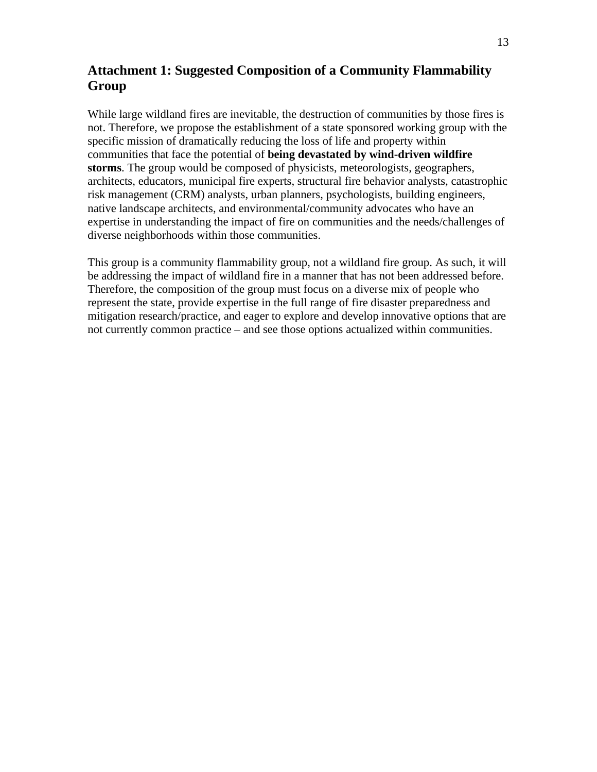# **Attachment 1: Suggested Composition of a Community Flammability Group**

While large wildland fires are inevitable, the destruction of communities by those fires is not. Therefore, we propose the establishment of a state sponsored working group with the specific mission of dramatically reducing the loss of life and property within communities that face the potential of **being devastated by wind-driven wildfire storms**. The group would be composed of physicists, meteorologists, geographers, architects, educators, municipal fire experts, structural fire behavior analysts, catastrophic risk management (CRM) analysts, urban planners, psychologists, building engineers, native landscape architects, and environmental/community advocates who have an expertise in understanding the impact of fire on communities and the needs/challenges of diverse neighborhoods within those communities.

This group is a community flammability group, not a wildland fire group. As such, it will be addressing the impact of wildland fire in a manner that has not been addressed before. Therefore, the composition of the group must focus on a diverse mix of people who represent the state, provide expertise in the full range of fire disaster preparedness and mitigation research/practice, and eager to explore and develop innovative options that are not currently common practice – and see those options actualized within communities.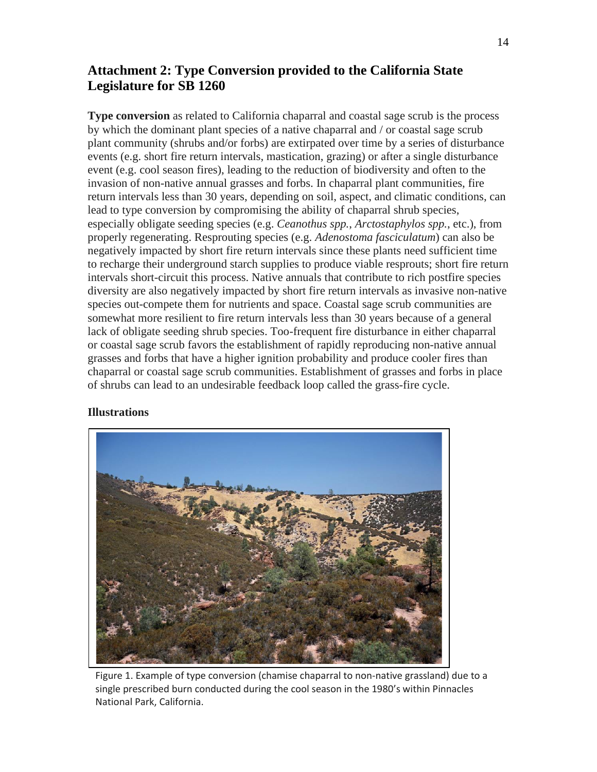# **Attachment 2: Type Conversion provided to the California State Legislature for SB 1260**

**Type conversion** as related to California chaparral and coastal sage scrub is the process by which the dominant plant species of a native chaparral and / or coastal sage scrub plant community (shrubs and/or forbs) are extirpated over time by a series of disturbance events (e.g. short fire return intervals, mastication, grazing) or after a single disturbance event (e.g. cool season fires), leading to the reduction of biodiversity and often to the invasion of non-native annual grasses and forbs. In chaparral plant communities, fire return intervals less than 30 years, depending on soil, aspect, and climatic conditions, can lead to type conversion by compromising the ability of chaparral shrub species, especially obligate seeding species (e.g. *Ceanothus spp.*, *Arctostaphylos spp.*, etc.), from properly regenerating. Resprouting species (e.g. *Adenostoma fasciculatum*) can also be negatively impacted by short fire return intervals since these plants need sufficient time to recharge their underground starch supplies to produce viable resprouts; short fire return intervals short-circuit this process. Native annuals that contribute to rich postfire species diversity are also negatively impacted by short fire return intervals as invasive non-native species out-compete them for nutrients and space. Coastal sage scrub communities are somewhat more resilient to fire return intervals less than 30 years because of a general lack of obligate seeding shrub species. Too-frequent fire disturbance in either chaparral or coastal sage scrub favors the establishment of rapidly reproducing non-native annual grasses and forbs that have a higher ignition probability and produce cooler fires than chaparral or coastal sage scrub communities. Establishment of grasses and forbs in place of shrubs can lead to an undesirable feedback loop called the grass-fire cycle.

#### **Illustrations**



Figure 1. Example of type conversion (chamise chaparral to non-native grassland) due to a single prescribed burn conducted during the cool season in the 1980's within Pinnacles National Park, California.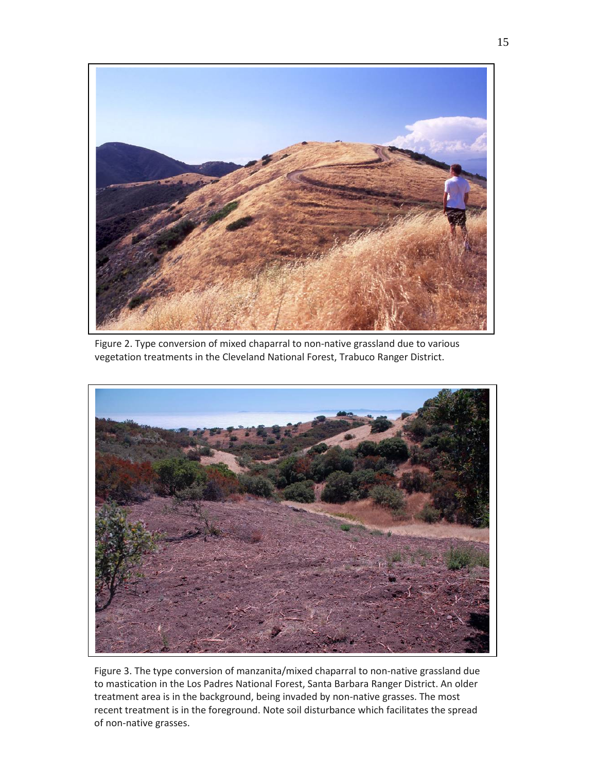

Figure 2. Type conversion of mixed chaparral to non-native grassland due to various vegetation treatments in the Cleveland National Forest, Trabuco Ranger District.



Figure 3. The type conversion of manzanita/mixed chaparral to non-native grassland due to mastication in the Los Padres National Forest, Santa Barbara Ranger District. An older treatment area is in the background, being invaded by non-native grasses. The most recent treatment is in the foreground. Note soil disturbance which facilitates the spread of non-native grasses.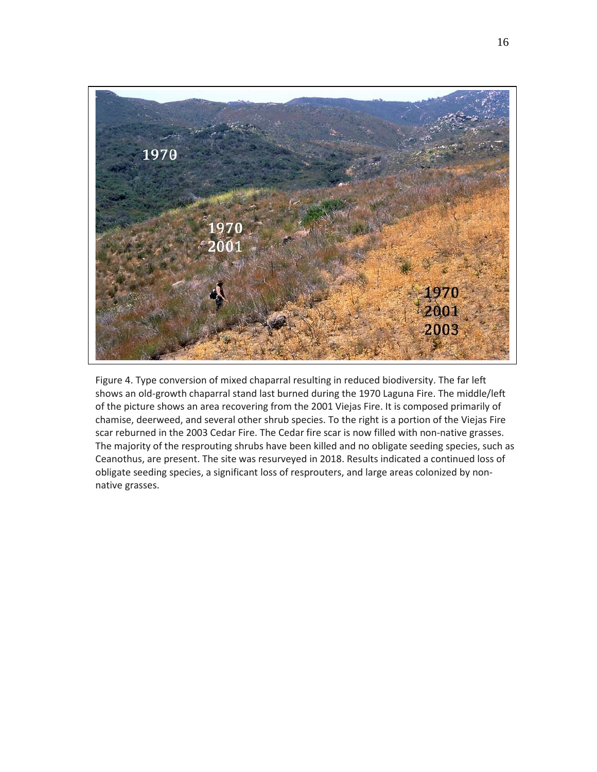

Figure 4. Type conversion of mixed chaparral resulting in reduced biodiversity. The far left shows an old-growth chaparral stand last burned during the 1970 Laguna Fire. The middle/left of the picture shows an area recovering from the 2001 Viejas Fire. It is composed primarily of chamise, deerweed, and several other shrub species. To the right is a portion of the Viejas Fire scar reburned in the 2003 Cedar Fire. The Cedar fire scar is now filled with non-native grasses. The majority of the resprouting shrubs have been killed and no obligate seeding species, such as Ceanothus, are present. The site was resurveyed in 2018. Results indicated a continued loss of obligate seeding species, a significant loss of resprouters, and large areas colonized by nonnative grasses.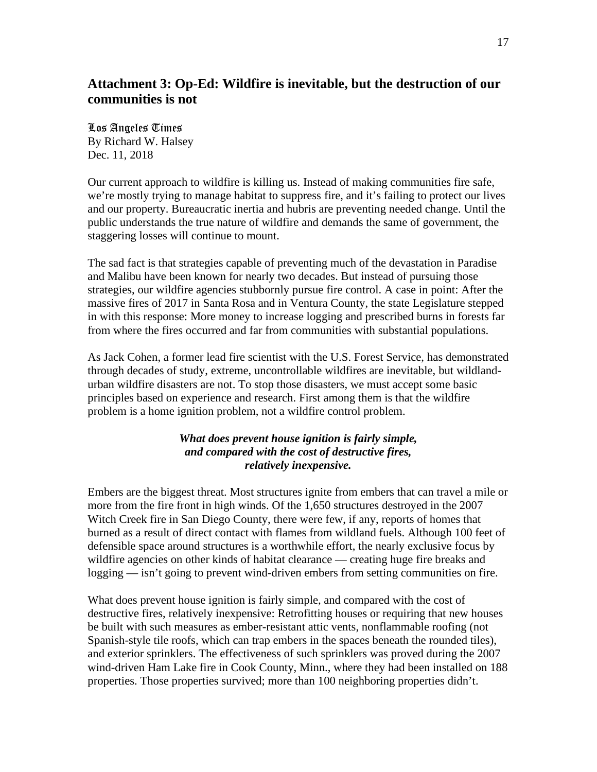## **Attachment 3: Op-Ed: Wildfire is inevitable, but the destruction of our communities is not**

## Los Angeles Times By Richard W. Halsey Dec. 11, 2018

Our current approach to wildfire is killing us. Instead of making communities fire safe, we're mostly trying to manage habitat to suppress fire, and it's failing to protect our lives and our property. Bureaucratic inertia and hubris are preventing needed change. Until the public understands the true nature of wildfire and demands the same of government, the staggering losses will continue to mount.

The sad fact is that strategies capable of preventing much of the devastation in Paradise and Malibu have been known for nearly two decades. But instead of pursuing those strategies, our wildfire agencies stubbornly pursue fire control. A case in point: After the massive fires of 2017 in Santa Rosa and in Ventura County, the state Legislature stepped in with this response: More money to increase logging and prescribed burns in forests far from where the fires occurred and far from communities with substantial populations.

As Jack Cohen, a former lead fire scientist with the U.S. Forest Service, has demonstrated through decades of study, extreme, uncontrollable wildfires are inevitable, but wildlandurban wildfire disasters are not. To stop those disasters, we must accept some basic principles based on experience and research. First among them is that the wildfire problem is a home ignition problem, not a wildfire control problem.

## *What does prevent house ignition is fairly simple, and compared with the cost of destructive fires, relatively inexpensive.*

Embers are the biggest threat. Most structures ignite from embers that can travel a mile or more from the fire front in high winds. Of the 1,650 structures destroyed in the 2007 Witch Creek fire in San Diego County, there were few, if any, reports of homes that burned as a result of direct contact with flames from wildland fuels. Although 100 feet of defensible space around structures is a worthwhile effort, the nearly exclusive focus by wildfire agencies on other kinds of habitat clearance — creating huge fire breaks and logging — isn't going to prevent wind-driven embers from setting communities on fire.

What does prevent house ignition is fairly simple, and compared with the cost of destructive fires, relatively inexpensive: Retrofitting houses or requiring that new houses be built with such measures as ember-resistant attic vents, nonflammable roofing (not Spanish-style tile roofs, which can trap embers in the spaces beneath the rounded tiles), and exterior sprinklers. The effectiveness of such sprinklers was proved during the 2007 wind-driven Ham Lake fire in Cook County, Minn., where they had been installed on 188 properties. Those properties survived; more than 100 neighboring properties didn't.